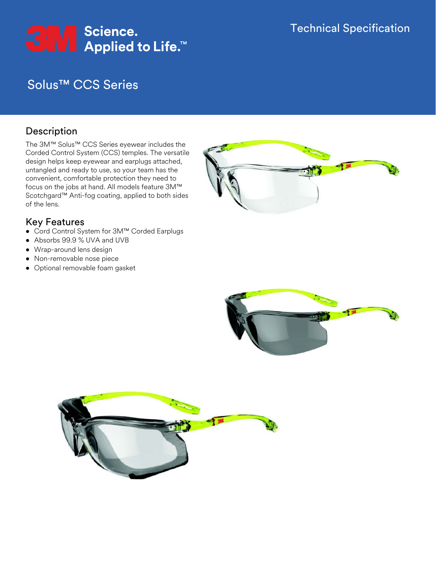# Solus™ CCS Series

## Description

The 3M™ Solus™ CCS Series eyewear includes the Corded Control System (CCS) temples. The versatile design helps keep eyewear and earplugs attached, untangled and ready to use, so your team has the convenient, comfortable protection they need to focus on the jobs at hand. All models feature 3M™ Scotchgard™ Anti-fog coating, applied to both sides of the lens.

## Key Features

- Cord Control System for 3M™ Corded Earplugs
- Absorbs 99.9 % UVA and UVB
- Wrap-around lens design
- Non-removable nose piece
- Optional removable foam gasket





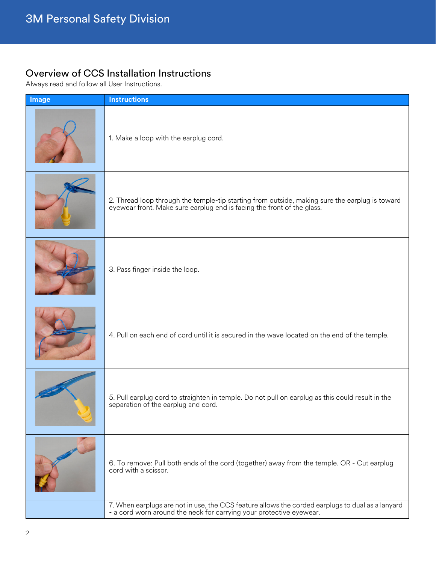# Overview of CCS Installation Instructions

Always read and follow all User Instructions.

| Image | <b>Instructions</b>                                                                                                                                                   |
|-------|-----------------------------------------------------------------------------------------------------------------------------------------------------------------------|
|       | 1. Make a loop with the earplug cord.                                                                                                                                 |
|       | 2. Thread loop through the temple-tip starting from outside, making sure the earplug is toward eyewear front. Make sure earplug end is facing the front of the glass. |
|       | 3. Pass finger inside the loop.                                                                                                                                       |
|       | 4. Pull on each end of cord until it is secured in the wave located on the end of the temple.                                                                         |
|       | 5. Pull earplug cord to straighten in temple. Do not pull on earplug as this could result in the<br>separation of the earplug and cord.                               |
|       | 6. To remove: Pull both ends of the cord (together) away from the temple. OR - Cut earplug<br>cord with a scissor.                                                    |
|       | 7. When earplugs are not in use, the CCS feature allows the corded earplugs to dual as a lanyard - a cord worn around the neck for carrying your protective eyewear.  |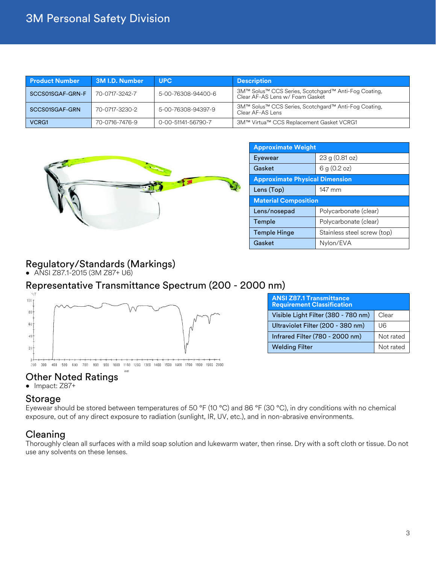| <b>Product Number</b> | <b>3M I.D. Number</b> | <b>UPC</b>                                                                                     | <b>Description</b>                                                                      |
|-----------------------|-----------------------|------------------------------------------------------------------------------------------------|-----------------------------------------------------------------------------------------|
| SCCS01SGAF-GRN-F      | 70-0717-3242-7        | 5-00-76308-94400-6                                                                             | 3M™ Solus™ CCS Series, Scotchgard™ Anti-Fog Coating,<br>Clear AF-AS Lens w/ Foam Gasket |
| SCCS01SGAF-GRN        | 70-0717-3230-2        | 3M™ Solus™ CCS Series, Scotchgard™ Anti-Fog Coating,<br>5-00-76308-94397-9<br>Clear AF-AS Lens |                                                                                         |
| VCRG1                 | 70-0716-7476-9        | 0-00-51141-56790-7<br>3M™ Virtua™ CCS Replacement Gasket VCRG1                                 |                                                                                         |



| <b>Approximate Weight</b>             |                             |  |
|---------------------------------------|-----------------------------|--|
| Eyewear                               | 23 g (0.81 oz)              |  |
| Gasket                                | 6 g $(0.2 \text{ oz})$      |  |
| <b>Approximate Physical Dimension</b> |                             |  |
| Lens (Top)                            | 147 mm                      |  |
| <b>Material Composition</b>           |                             |  |
| Lens/nosepad                          | Polycarbonate (clear)       |  |
| Temple                                | Polycarbonate (clear)       |  |
| <b>Temple Hinge</b>                   | Stainless steel screw (top) |  |
| Gasket                                | Nylon/EVA                   |  |

## Regulatory/Standards (Markings)

• ANSI Z87.1-2015 (3M Z87+ U6)

#### Representative Transmittance Spectrum (200 - 2000 nm)  $\%$



#### 200 300 400 500 600 700 800 900 1000 1100 1200 1300 1400 1500 1600 1700 1800 1900 2000

#### Other Noted Ratings

• Impact: Z87+

#### Storage

Eyewear should be stored between temperatures of 50 °F (10 °C) and 86 °F (30 °C), in dry conditions with no chemical exposure, out of any direct exposure to radiation (sunlight, IR, UV, etc.), and in non-abrasive environments.

#### Cleaning

Thoroughly clean all surfaces with a mild soap solution and lukewarm water, then rinse. Dry with a soft cloth or tissue. Do not use any solvents on these lenses.

| <b>ANSI Z87.1 Transmittance</b><br><b>Requirement Classification</b> |           |
|----------------------------------------------------------------------|-----------|
| Visible Light Filter (380 - 780 nm)                                  | Clear     |
| Ultraviolet Filter (200 - 380 nm)                                    | U6        |
| Infrared Filter (780 - 2000 nm)                                      | Not rated |
| <b>Welding Filter</b>                                                | Not rated |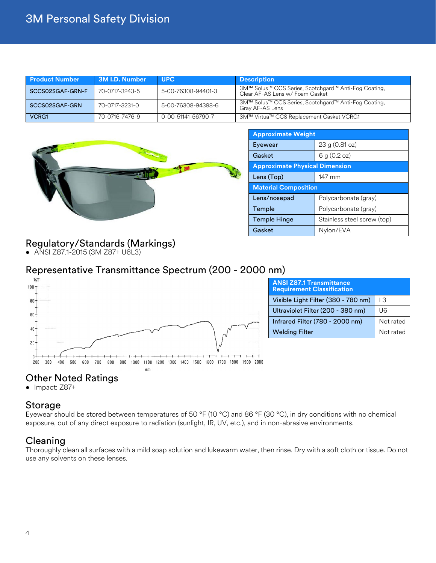| <b>Product Number</b> | 3M I.D. Number | <b>UPC</b>                                                                                    | <b>Description</b>                                                                      |
|-----------------------|----------------|-----------------------------------------------------------------------------------------------|-----------------------------------------------------------------------------------------|
| SCCS02SGAF-GRN-F      | 70-0717-3243-5 | 5-00-76308-94401-3                                                                            | 3M™ Solus™ CCS Series, Scotchgard™ Anti-Fog Coating,<br>Clear AF-AS Lens w/ Foam Gasket |
| SCCS02SGAF-GRN        | 70-0717-3231-0 | 3M™ Solus™ CCS Series, Scotchgard™ Anti-Fog Coating,<br>5-00-76308-94398-6<br>Gray AF-AS Lens |                                                                                         |
| <b>VCRG1</b>          | 70-0716-7476-9 | 0-00-51141-56790-7                                                                            | 3M™ Virtua™ CCS Replacement Gasket VCRG1                                                |



| <b>Approximate Weight</b>             |                             |
|---------------------------------------|-----------------------------|
| Eyewear                               | 23 g (0.81 oz)              |
| Gasket                                | 6 g (0.2 oz)                |
| <b>Approximate Physical Dimension</b> |                             |
| Lens (Top)                            | 147 mm                      |
| <b>Material Composition</b>           |                             |
| Lens/nosepad                          | Polycarbonate (gray)        |
| Temple                                | Polycarbonate (gray)        |
| <b>Temple Hinge</b>                   | Stainless steel screw (top) |
| Gasket                                | Nylon/EVA                   |

## Regulatory/Standards (Markings)

• ANSI Z87.1-2015 (3M Z87+ U6L3)

### Representative Transmittance Spectrum (200 - 2000 nm)



| <b>ANSI Z87.1 Transmittance</b><br><b>Requirement Classification</b> |           |  |
|----------------------------------------------------------------------|-----------|--|
| Visible Light Filter (380 - 780 nm)                                  | TЗ        |  |
| Ultraviolet Filter (200 - 380 nm)                                    | U6        |  |
| Infrared Filter (780 - 2000 nm)                                      | Not rated |  |
| <b>Welding Filter</b>                                                | Not rated |  |

# Other Noted Ratings

• Impact: Z87+

#### Storage

Eyewear should be stored between temperatures of 50 °F (10 °C) and 86 °F (30 °C), in dry conditions with no chemical exposure, out of any direct exposure to radiation (sunlight, IR, UV, etc.), and in non-abrasive environments.

### **Cleaning**

Thoroughly clean all surfaces with a mild soap solution and lukewarm water, then rinse. Dry with a soft cloth or tissue. Do not use any solvents on these lenses.